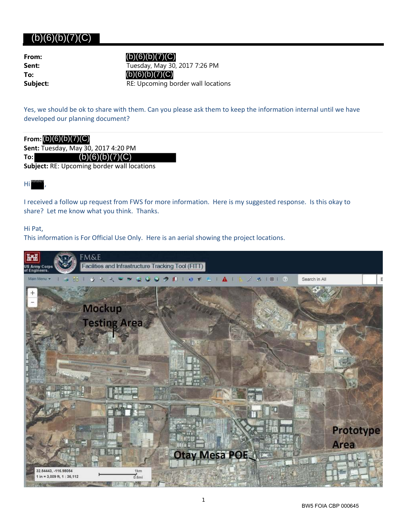# $(b)(6)(b)(7)(C)$

| From:    |
|----------|
| Sent:    |
| To:      |
| Subject: |

**Sent:** Tuesday, May 30, 2017 7:26 PM **Subject:** RE: Upcoming border wall locations  $(b)(6)(b)(7)(C)$  $(b)(6)(b)(7)(C)$ 

Yes, we should be ok to share with them. Can you please ask them to keep the information internal until we have developed our planning document?

## **From:** (b)(6)(b)(7)(C)

**Sent:** Tuesday, May 30, 2017 4:20 PM

**To:**  $(b)(6)(b)(7)(C)$ 

**Subject:** RE: Upcoming border wall locations

#### Hi , (b)(6)(b)(7)

I received a follow up request from FWS for more information. Here is my suggested response. Is this okay to share? Let me know what you think. Thanks.

### Hi Pat,

This information is For Official Use Only. Here is an aerial showing the project locations.



1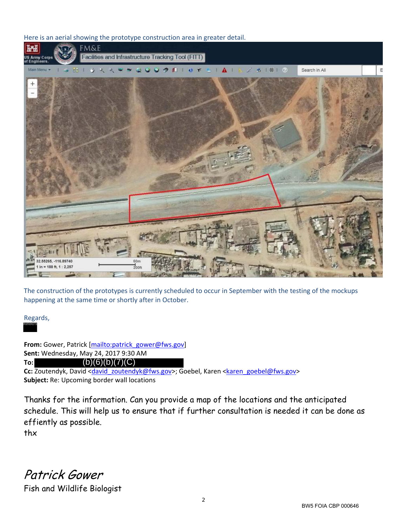Here is an aerial showing the prototype construction area in greater detail.



The construction of the prototypes is currently scheduled to occur in September with the testing of the mockups happening at the same time or shortly after in October.

Regards, (b)(6)(b)(7)(

From: Gower, Patrick [mailto:patrick\_gower@fws.gov] **Sent:** Wednesday, May 24, 2017 9:30 AM **To:**  $(b)(6)(b)(7)(C)$ 

Cc: Zoutendyk, David <david\_zoutendyk@fws.gov>; Goebel, Karen <karen\_goebel@fws.gov> **Subject:** Re: Upcoming border wall locations

Thanks for the information. Can you provide a map of the locations and the anticipated schedule. This will help us to ensure that if further consultation is needed it can be done as effiently as possible.

thx

Patrick Gower Fish and Wildlife Biologist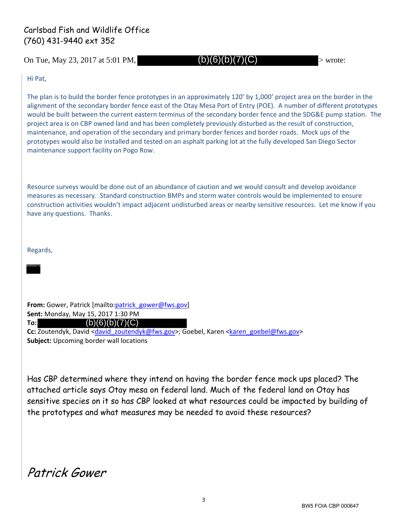## Carlsbad Fish and Wildlife Office (760) 431-9440 ext 352

On Tue, May 23, 2017 at 5:01 PM,  $(b)(6)(b)(7)(C)$  > wrote:

 $(b)(6)(b)(7)(C)$ 

Hi Pat,

The plan is to build the border fence prototypes in an approximately 120' by 1,000' project area on the border in the alignment of the secondary border fence east of the Otay Mesa Port of Entry (POE). A number of different prototypes would be built between the current eastern terminus of the secondary border fence and the SDG&E pump station. The project area is on CBP owned land and has been completely previously disturbed as the result of construction, maintenance, and operation of the secondary and primary border fences and border roads. Mock ups of the prototypes would also be installed and tested on an asphalt parking lot at the fully developed San Diego Sector maintenance support facility on Pogo Row.

Resource surveys would be done out of an abundance of caution and we would consult and develop avoidance measures as necessary. Standard construction BMPs and storm water controls would be implemented to ensure construction activities wouldn't impact adjacent undisturbed areas or nearby sensitive resources. Let me know if you have any questions. Thanks.

Regards,

(b)(6)(b)(7)(

**From:** Gower, Patrick [mailto:patrick\_gower@fws.gov] **Sent:** Monday, May 15, 2017 1:30 PM **To:** Cc: Zoutendyk, David <david\_zoutendyk@fws.gov>; Goebel, Karen <karen\_goebel@fws.gov> **Subject:** Upcoming border wall locations  $(b)(6)(b)(7)(C)$ 

Has CBP determined where they intend on having the border fence mock ups placed? The attached article says Otay mesa on federal land. Much of the federal land on Otay has sensitive species on it so has CBP looked at what resources could be impacted by building of the prototypes and what measures may be needed to avoid these resources?

Patrick Gower